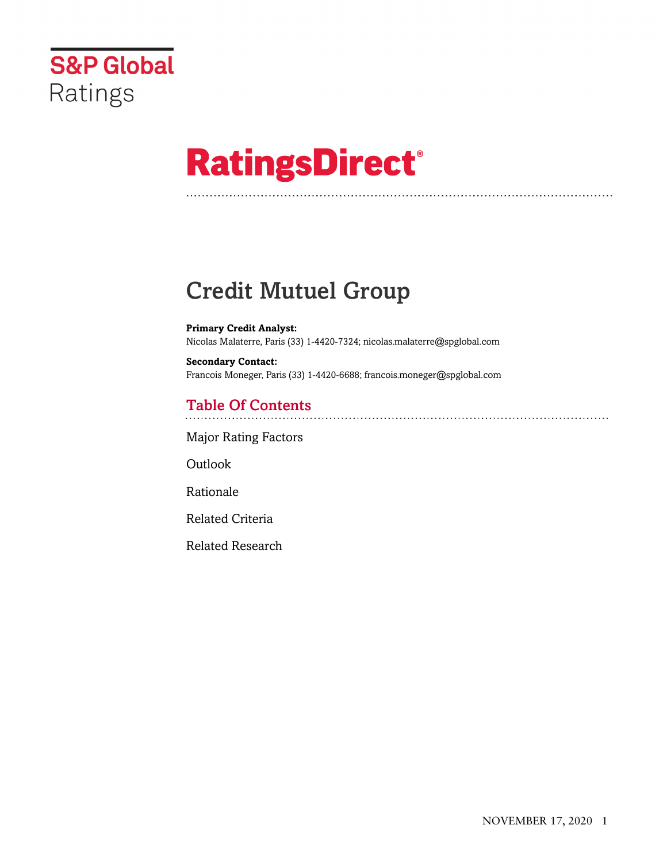

# **RatingsDirect®**

# Credit Mutuel Group

**Primary Credit Analyst:** Nicolas Malaterre, Paris (33) 1-4420-7324; nicolas.malaterre@spglobal.com

**Secondary Contact:** Francois Moneger, Paris (33) 1-4420-6688; francois.moneger@spglobal.com

# Table Of Contents

[Major Rating Factors](#page-1-0)

Outlook

[Rationale](#page-2-0)

[Related Criteria](#page-15-0)

[Related Research](#page-16-0)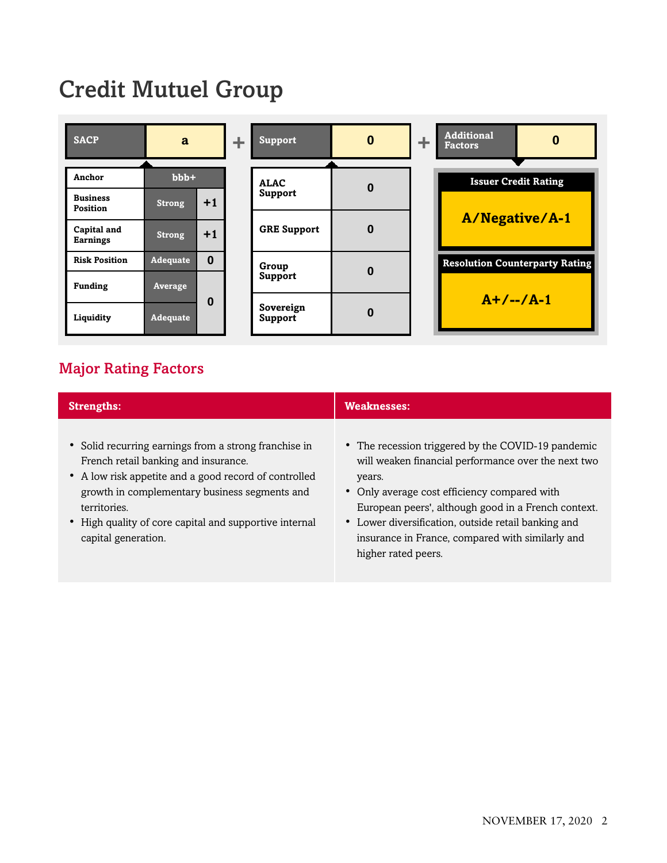# Credit Mutuel Group



# <span id="page-1-0"></span>Major Rating Factors

| <b>Strengths:</b>                                                                                                                                                                                                                                                                                        | <b>Weaknesses:</b>                                                                                                                                                                                                                                                                                                                                           |  |  |  |  |
|----------------------------------------------------------------------------------------------------------------------------------------------------------------------------------------------------------------------------------------------------------------------------------------------------------|--------------------------------------------------------------------------------------------------------------------------------------------------------------------------------------------------------------------------------------------------------------------------------------------------------------------------------------------------------------|--|--|--|--|
| • Solid recurring earnings from a strong franchise in<br>French retail banking and insurance.<br>• A low risk appetite and a good record of controlled<br>growth in complementary business segments and<br>territories.<br>• High quality of core capital and supportive internal<br>capital generation. | • The recession triggered by the COVID-19 pandemic<br>will weaken financial performance over the next two<br>years.<br>• Only average cost efficiency compared with<br>European peers', although good in a French context.<br>• Lower diversification, outside retail banking and<br>insurance in France, compared with similarly and<br>higher rated peers. |  |  |  |  |
|                                                                                                                                                                                                                                                                                                          |                                                                                                                                                                                                                                                                                                                                                              |  |  |  |  |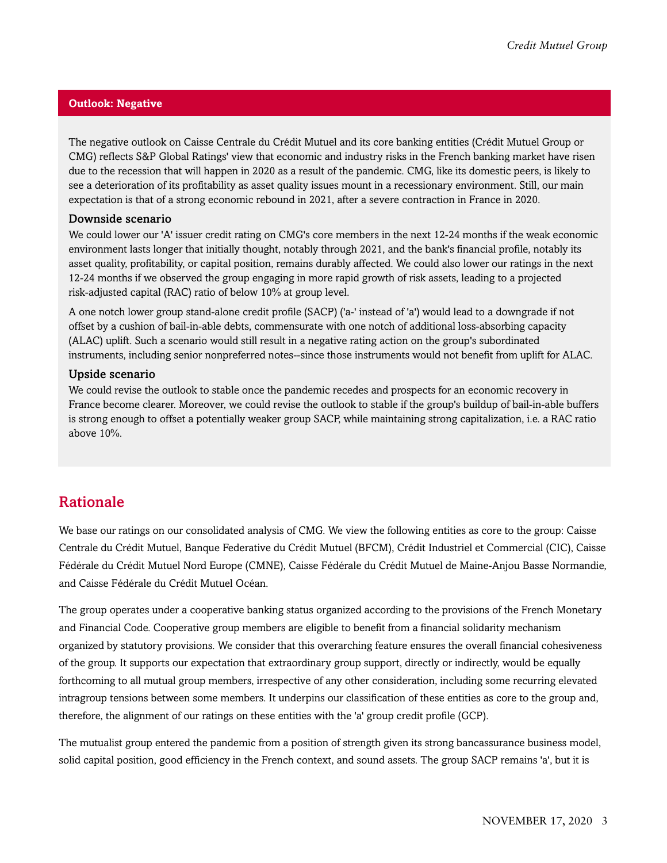#### **Outlook: Negative**

The negative outlook on Caisse Centrale du Crédit Mutuel and its core banking entities (Crédit Mutuel Group or CMG) reflects S&P Global Ratings' view that economic and industry risks in the French banking market have risen due to the recession that will happen in 2020 as a result of the pandemic. CMG, like its domestic peers, is likely to see a deterioration of its profitability as asset quality issues mount in a recessionary environment. Still, our main expectation is that of a strong economic rebound in 2021, after a severe contraction in France in 2020.

#### Downside scenario

We could lower our 'A' issuer credit rating on CMG's core members in the next 12-24 months if the weak economic environment lasts longer that initially thought, notably through 2021, and the bank's financial profile, notably its asset quality, profitability, or capital position, remains durably affected. We could also lower our ratings in the next 12-24 months if we observed the group engaging in more rapid growth of risk assets, leading to a projected risk-adjusted capital (RAC) ratio of below 10% at group level.

A one notch lower group stand-alone credit profile (SACP) ('a-' instead of 'a') would lead to a downgrade if not offset by a cushion of bail-in-able debts, commensurate with one notch of additional loss-absorbing capacity (ALAC) uplift. Such a scenario would still result in a negative rating action on the group's subordinated instruments, including senior nonpreferred notes--since those instruments would not benefit from uplift for ALAC.

#### Upside scenario

We could revise the outlook to stable once the pandemic recedes and prospects for an economic recovery in France become clearer. Moreover, we could revise the outlook to stable if the group's buildup of bail-in-able buffers is strong enough to offset a potentially weaker group SACP, while maintaining strong capitalization, i.e. a RAC ratio above 10%.

### <span id="page-2-0"></span>Rationale

We base our ratings on our consolidated analysis of CMG. We view the following entities as core to the group: Caisse Centrale du Crédit Mutuel, Banque Federative du Crédit Mutuel (BFCM), Crédit Industriel et Commercial (CIC), Caisse Fédérale du Crédit Mutuel Nord Europe (CMNE), Caisse Fédérale du Crédit Mutuel de Maine-Anjou Basse Normandie, and Caisse Fédérale du Crédit Mutuel Océan.

The group operates under a cooperative banking status organized according to the provisions of the French Monetary and Financial Code. Cooperative group members are eligible to benefit from a financial solidarity mechanism organized by statutory provisions. We consider that this overarching feature ensures the overall financial cohesiveness of the group. It supports our expectation that extraordinary group support, directly or indirectly, would be equally forthcoming to all mutual group members, irrespective of any other consideration, including some recurring elevated intragroup tensions between some members. It underpins our classification of these entities as core to the group and, therefore, the alignment of our ratings on these entities with the 'a' group credit profile (GCP).

The mutualist group entered the pandemic from a position of strength given its strong bancassurance business model, solid capital position, good efficiency in the French context, and sound assets. The group SACP remains 'a', but it is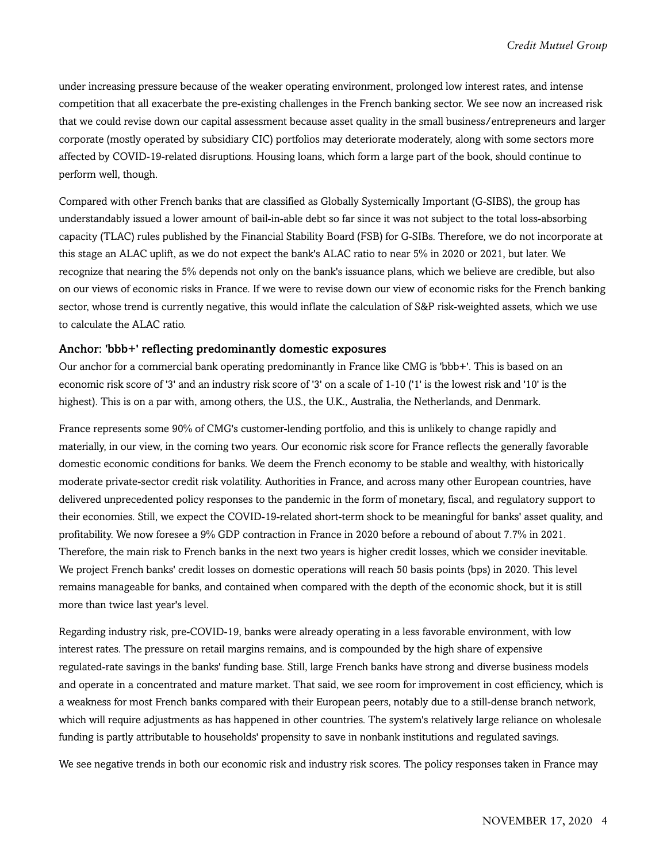under increasing pressure because of the weaker operating environment, prolonged low interest rates, and intense competition that all exacerbate the pre-existing challenges in the French banking sector. We see now an increased risk that we could revise down our capital assessment because asset quality in the small business/entrepreneurs and larger corporate (mostly operated by subsidiary CIC) portfolios may deteriorate moderately, along with some sectors more affected by COVID-19-related disruptions. Housing loans, which form a large part of the book, should continue to perform well, though.

Compared with other French banks that are classified as Globally Systemically Important (G-SIBS), the group has understandably issued a lower amount of bail-in-able debt so far since it was not subject to the total loss-absorbing capacity (TLAC) rules published by the Financial Stability Board (FSB) for G-SIBs. Therefore, we do not incorporate at this stage an ALAC uplift, as we do not expect the bank's ALAC ratio to near 5% in 2020 or 2021, but later. We recognize that nearing the 5% depends not only on the bank's issuance plans, which we believe are credible, but also on our views of economic risks in France. If we were to revise down our view of economic risks for the French banking sector, whose trend is currently negative, this would inflate the calculation of S&P risk-weighted assets, which we use to calculate the ALAC ratio.

#### Anchor: 'bbb+' reflecting predominantly domestic exposures

Our anchor for a commercial bank operating predominantly in France like CMG is 'bbb+'. This is based on an economic risk score of '3' and an industry risk score of '3' on a scale of 1-10 ('1' is the lowest risk and '10' is the highest). This is on a par with, among others, the U.S., the U.K., Australia, the Netherlands, and Denmark.

France represents some 90% of CMG's customer-lending portfolio, and this is unlikely to change rapidly and materially, in our view, in the coming two years. Our economic risk score for France reflects the generally favorable domestic economic conditions for banks. We deem the French economy to be stable and wealthy, with historically moderate private-sector credit risk volatility. Authorities in France, and across many other European countries, have delivered unprecedented policy responses to the pandemic in the form of monetary, fiscal, and regulatory support to their economies. Still, we expect the COVID-19-related short-term shock to be meaningful for banks' asset quality, and profitability. We now foresee a 9% GDP contraction in France in 2020 before a rebound of about 7.7% in 2021. Therefore, the main risk to French banks in the next two years is higher credit losses, which we consider inevitable. We project French banks' credit losses on domestic operations will reach 50 basis points (bps) in 2020. This level remains manageable for banks, and contained when compared with the depth of the economic shock, but it is still more than twice last year's level.

Regarding industry risk, pre-COVID-19, banks were already operating in a less favorable environment, with low interest rates. The pressure on retail margins remains, and is compounded by the high share of expensive regulated-rate savings in the banks' funding base. Still, large French banks have strong and diverse business models and operate in a concentrated and mature market. That said, we see room for improvement in cost efficiency, which is a weakness for most French banks compared with their European peers, notably due to a still-dense branch network, which will require adjustments as has happened in other countries. The system's relatively large reliance on wholesale funding is partly attributable to households' propensity to save in nonbank institutions and regulated savings.

We see negative trends in both our economic risk and industry risk scores. The policy responses taken in France may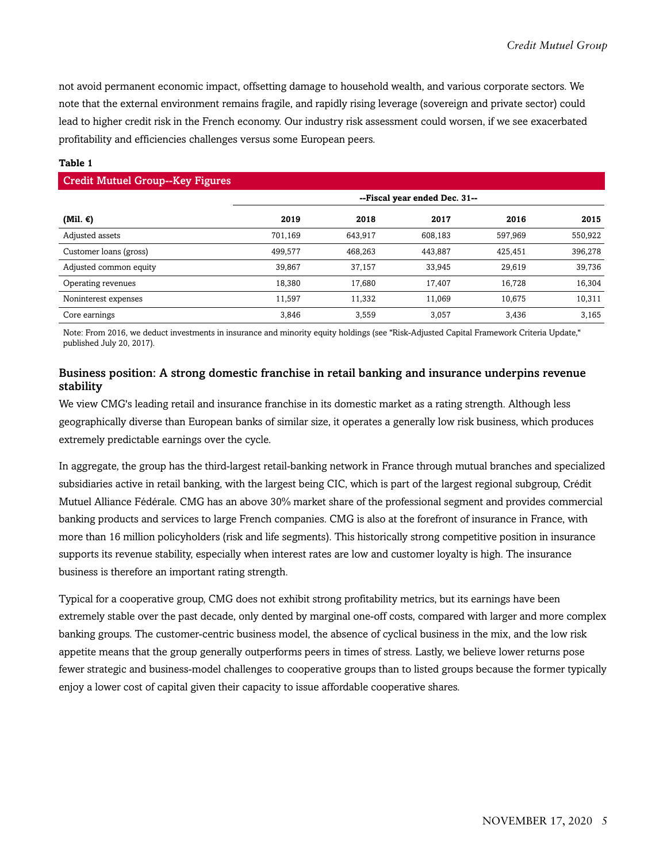not avoid permanent economic impact, offsetting damage to household wealth, and various corporate sectors. We note that the external environment remains fragile, and rapidly rising leverage (sovereign and private sector) could lead to higher credit risk in the French economy. Our industry risk assessment could worsen, if we see exacerbated profitability and efficiencies challenges versus some European peers.

#### **Table 1**

| <b>Credit Mutuel Group--Key Figures</b> |                               |         |         |         |         |  |  |  |  |
|-----------------------------------------|-------------------------------|---------|---------|---------|---------|--|--|--|--|
|                                         | --Fiscal year ended Dec. 31-- |         |         |         |         |  |  |  |  |
| (Mil. $\epsilon$ )                      | 2019                          | 2018    | 2017    | 2016    | 2015    |  |  |  |  |
| Adjusted assets                         | 701.169                       | 643.917 | 608.183 | 597,969 | 550,922 |  |  |  |  |
| Customer loans (gross)                  | 499.577                       | 468.263 | 443,887 | 425,451 | 396,278 |  |  |  |  |
| Adjusted common equity                  | 39.867                        | 37.157  | 33,945  | 29.619  | 39,736  |  |  |  |  |
| Operating revenues                      | 18.380                        | 17,680  | 17,407  | 16,728  | 16,304  |  |  |  |  |
| Noninterest expenses                    | 11.597                        | 11,332  | 11,069  | 10,675  | 10,311  |  |  |  |  |
| Core earnings                           | 3.846                         | 3.559   | 3.057   | 3,436   | 3,165   |  |  |  |  |

Note: From 2016, we deduct investments in insurance and minority equity holdings (see "Risk-Adjusted Capital Framework Criteria Update," published July 20, 2017).

#### Business position: A strong domestic franchise in retail banking and insurance underpins revenue stability

We view CMG's leading retail and insurance franchise in its domestic market as a rating strength. Although less geographically diverse than European banks of similar size, it operates a generally low risk business, which produces extremely predictable earnings over the cycle.

In aggregate, the group has the third-largest retail-banking network in France through mutual branches and specialized subsidiaries active in retail banking, with the largest being CIC, which is part of the largest regional subgroup, Crédit Mutuel Alliance Fédérale. CMG has an above 30% market share of the professional segment and provides commercial banking products and services to large French companies. CMG is also at the forefront of insurance in France, with more than 16 million policyholders (risk and life segments). This historically strong competitive position in insurance supports its revenue stability, especially when interest rates are low and customer loyalty is high. The insurance business is therefore an important rating strength.

Typical for a cooperative group, CMG does not exhibit strong profitability metrics, but its earnings have been extremely stable over the past decade, only dented by marginal one-off costs, compared with larger and more complex banking groups. The customer-centric business model, the absence of cyclical business in the mix, and the low risk appetite means that the group generally outperforms peers in times of stress. Lastly, we believe lower returns pose fewer strategic and business-model challenges to cooperative groups than to listed groups because the former typically enjoy a lower cost of capital given their capacity to issue affordable cooperative shares.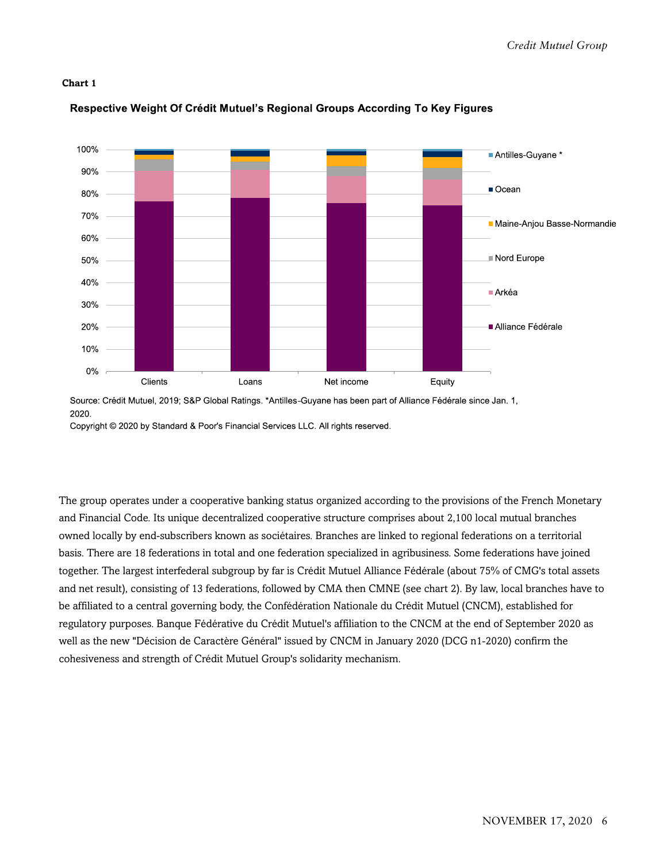

#### Respective Weight Of Crédit Mutuel's Regional Groups According To Key Figures

Source: Crédit Mutuel, 2019; S&P Global Ratings. \*Antilles-Guyane has been part of Alliance Fédérale since Jan. 1, 2020.

Copyright © 2020 by Standard & Poor's Financial Services LLC. All rights reserved.

The group operates under a cooperative banking status organized according to the provisions of the French Monetary and Financial Code. Its unique decentralized cooperative structure comprises about 2,100 local mutual branches owned locally by end-subscribers known as sociétaires. Branches are linked to regional federations on a territorial basis. There are 18 federations in total and one federation specialized in agribusiness. Some federations have joined together. The largest interfederal subgroup by far is Crédit Mutuel Alliance Fédérale (about 75% of CMG's total assets and net result), consisting of 13 federations, followed by CMA then CMNE (see chart 2). By law, local branches have to be affiliated to a central governing body, the Confédération Nationale du Crédit Mutuel (CNCM), established for regulatory purposes. Banque Fédérative du Crédit Mutuel's affiliation to the CNCM at the end of September 2020 as well as the new "Décision de Caractère Général" issued by CNCM in January 2020 (DCG n1-2020) confirm the cohesiveness and strength of Crédit Mutuel Group's solidarity mechanism.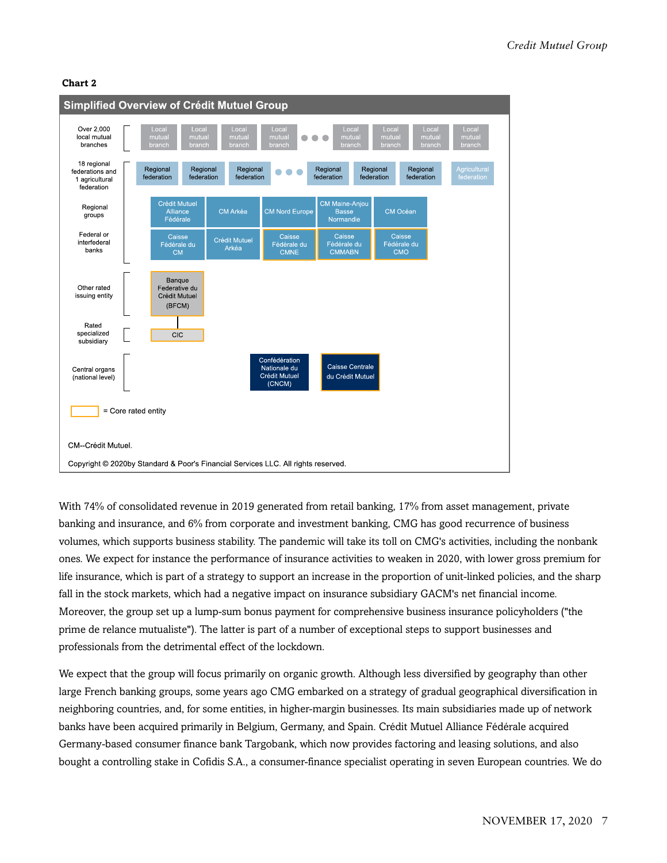

With 74% of consolidated revenue in 2019 generated from retail banking, 17% from asset management, private banking and insurance, and 6% from corporate and investment banking, CMG has good recurrence of business volumes, which supports business stability. The pandemic will take its toll on CMG's activities, including the nonbank ones. We expect for instance the performance of insurance activities to weaken in 2020, with lower gross premium for life insurance, which is part of a strategy to support an increase in the proportion of unit-linked policies, and the sharp fall in the stock markets, which had a negative impact on insurance subsidiary GACM's net financial income. Moreover, the group set up a lump-sum bonus payment for comprehensive business insurance policyholders ("the prime de relance mutualiste"). The latter is part of a number of exceptional steps to support businesses and professionals from the detrimental effect of the lockdown.

We expect that the group will focus primarily on organic growth. Although less diversified by geography than other large French banking groups, some years ago CMG embarked on a strategy of gradual geographical diversification in neighboring countries, and, for some entities, in higher-margin businesses. Its main subsidiaries made up of network banks have been acquired primarily in Belgium, Germany, and Spain. Crédit Mutuel Alliance Fédérale acquired Germany-based consumer finance bank Targobank, which now provides factoring and leasing solutions, and also bought a controlling stake in Cofidis S.A., a consumer-finance specialist operating in seven European countries. We do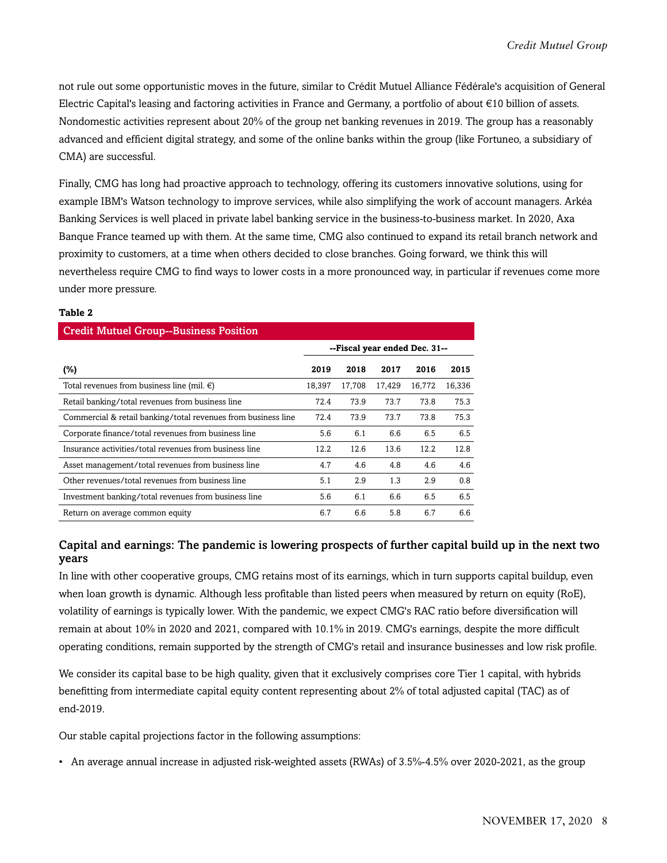not rule out some opportunistic moves in the future, similar to Crédit Mutuel Alliance Fédérale's acquisition of General Electric Capital's leasing and factoring activities in France and Germany, a portfolio of about €10 billion of assets. Nondomestic activities represent about 20% of the group net banking revenues in 2019. The group has a reasonably advanced and efficient digital strategy, and some of the online banks within the group (like Fortuneo, a subsidiary of CMA) are successful.

Finally, CMG has long had proactive approach to technology, offering its customers innovative solutions, using for example IBM's Watson technology to improve services, while also simplifying the work of account managers. Arkéa Banking Services is well placed in private label banking service in the business-to-business market. In 2020, Axa Banque France teamed up with them. At the same time, CMG also continued to expand its retail branch network and proximity to customers, at a time when others decided to close branches. Going forward, we think this will nevertheless require CMG to find ways to lower costs in a more pronounced way, in particular if revenues come more under more pressure.

#### **Table 2**

| <b>Credit Mutuel Group--Business Position</b>                 |                               |        |        |        |        |  |
|---------------------------------------------------------------|-------------------------------|--------|--------|--------|--------|--|
|                                                               | --Fiscal year ended Dec. 31-- |        |        |        |        |  |
| (%)                                                           | 2019                          | 2018   | 2017   | 2016   | 2015   |  |
| Total revenues from business line (mil. $\epsilon$ )          | 18,397                        | 17,708 | 17,429 | 16,772 | 16,336 |  |
| Retail banking/total revenues from business line              | 72.4                          | 73.9   | 73.7   | 73.8   | 75.3   |  |
| Commercial & retail banking/total revenues from business line | 72.4                          | 73.9   | 73.7   | 73.8   | 75.3   |  |
| Corporate finance/total revenues from business line           | 5.6                           | 6.1    | 6.6    | 6.5    | 6.5    |  |
| Insurance activities/total revenues from business line        | 12.2                          | 12.6   | 13.6   | 12.2   | 12.8   |  |
| Asset management/total revenues from business line            | 4.7                           | 4.6    | 4.8    | 4.6    | 4.6    |  |
| Other revenues/total revenues from business line              | 5.1                           | 2.9    | 1.3    | 2.9    | 0.8    |  |
| Investment banking/total revenues from business line          | 5.6                           | 6.1    | 6.6    | 6.5    | 6.5    |  |
| Return on average common equity                               | 6.7                           | 6.6    | 5.8    | 6.7    | 6.6    |  |

#### Capital and earnings: The pandemic is lowering prospects of further capital build up in the next two years

In line with other cooperative groups, CMG retains most of its earnings, which in turn supports capital buildup, even when loan growth is dynamic. Although less profitable than listed peers when measured by return on equity (RoE), volatility of earnings is typically lower. With the pandemic, we expect CMG's RAC ratio before diversification will remain at about 10% in 2020 and 2021, compared with 10.1% in 2019. CMG's earnings, despite the more difficult operating conditions, remain supported by the strength of CMG's retail and insurance businesses and low risk profile.

We consider its capital base to be high quality, given that it exclusively comprises core Tier 1 capital, with hybrids benefitting from intermediate capital equity content representing about 2% of total adjusted capital (TAC) as of end-2019.

Our stable capital projections factor in the following assumptions:

• An average annual increase in adjusted risk-weighted assets (RWAs) of 3.5%-4.5% over 2020-2021, as the group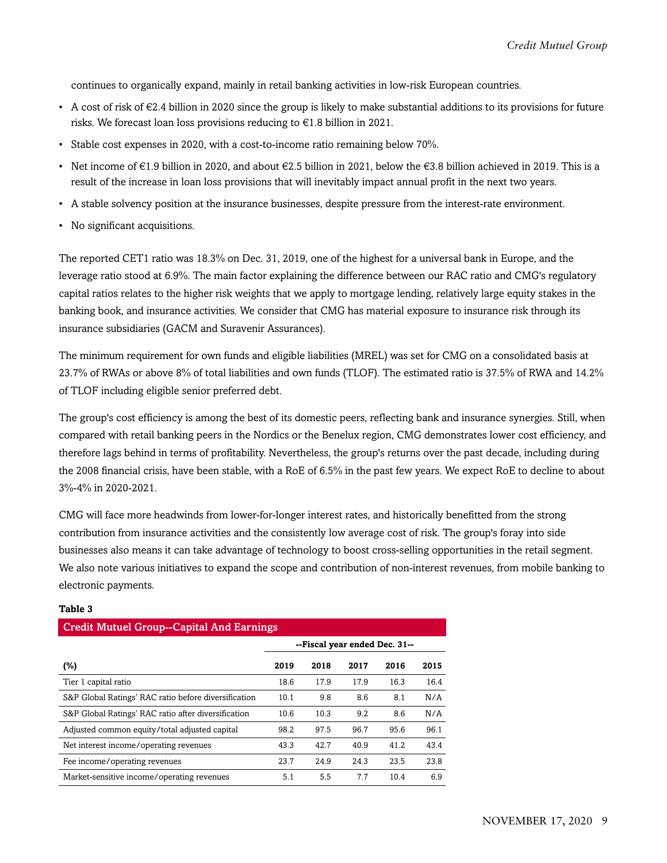continues to organically expand, mainly in retail banking activities in low-risk European countries.

- A cost of risk of €2.4 billion in 2020 since the group is likely to make substantial additions to its provisions for future risks. We forecast loan loss provisions reducing to €1.8 billion in 2021.
- Stable cost expenses in 2020, with a cost-to-income ratio remaining below 70%.
- Net income of  $\in$ 1.9 billion in 2020, and about  $\in$ 2.5 billion in 2021, below the  $\in$ 3.8 billion achieved in 2019. This is a result of the increase in loan loss provisions that will inevitably impact annual profit in the next two years.
- A stable solvency position at the insurance businesses, despite pressure from the interest-rate environment.
- No significant acquisitions.

The reported CET1 ratio was 18.3% on Dec. 31, 2019, one of the highest for a universal bank in Europe, and the leverage ratio stood at 6.9%. The main factor explaining the difference between our RAC ratio and CMG's regulatory capital ratios relates to the higher risk weights that we apply to mortgage lending, relatively large equity stakes in the banking book, and insurance activities. We consider that CMG has material exposure to insurance risk through its insurance subsidiaries (GACM and Suravenir Assurances).

The minimum requirement for own funds and eligible liabilities (MREL) was set for CMG on a consolidated basis at 23.7% of RWAs or above 8% of total liabilities and own funds (TLOF). The estimated ratio is 37.5% of RWA and 14.2% of TLOF including eligible senior preferred debt.

The group's cost efficiency is among the best of its domestic peers, reflecting bank and insurance synergies. Still, when compared with retail banking peers in the Nordics or the Benelux region, CMG demonstrates lower cost efficiency, and therefore lags behind in terms of profitability. Nevertheless, the group's returns over the past decade, including during the 2008 financial crisis, have been stable, with a RoE of 6.5% in the past few years. We expect RoE to decline to about 3%-4% in 2020-2021.

CMG will face more headwinds from lower-for-longer interest rates, and historically benefitted from the strong contribution from insurance activities and the consistently low average cost of risk. The group's foray into side businesses also means it can take advantage of technology to boost cross-selling opportunities in the retail segment. We also note various initiatives to expand the scope and contribution of non-interest revenues, from mobile banking to electronic payments.

| <b>Credit Mutuel Group--Capital And Earnings</b>     |                               |      |      |      |      |  |  |  |  |
|------------------------------------------------------|-------------------------------|------|------|------|------|--|--|--|--|
|                                                      | --Fiscal year ended Dec. 31-- |      |      |      |      |  |  |  |  |
| $(\%)$                                               | 2019                          | 2018 | 2017 | 2016 | 2015 |  |  |  |  |
| Tier 1 capital ratio                                 | 18.6                          | 17.9 | 17.9 | 16.3 | 16.4 |  |  |  |  |
| S&P Global Ratings' RAC ratio before diversification | 10.1                          | 9.8  | 8.6  | 8.1  | N/A  |  |  |  |  |
| S&P Global Ratings' RAC ratio after diversification  | 10.6                          | 10.3 | 9.2  | 8.6  | N/A  |  |  |  |  |
| Adjusted common equity/total adjusted capital        | 98.2                          | 97.5 | 96.7 | 95.6 | 96.1 |  |  |  |  |
| Net interest income/operating revenues               | 43.3                          | 42.7 | 40.9 | 41.2 | 43.4 |  |  |  |  |
| Fee income/operating revenues                        | 23.7                          | 24.9 | 24.3 | 23.5 | 23.8 |  |  |  |  |
| Market-sensitive income/operating revenues           | 5.1                           | 5.5  | 7.7  | 10.4 | 6.9  |  |  |  |  |

#### **Table 3**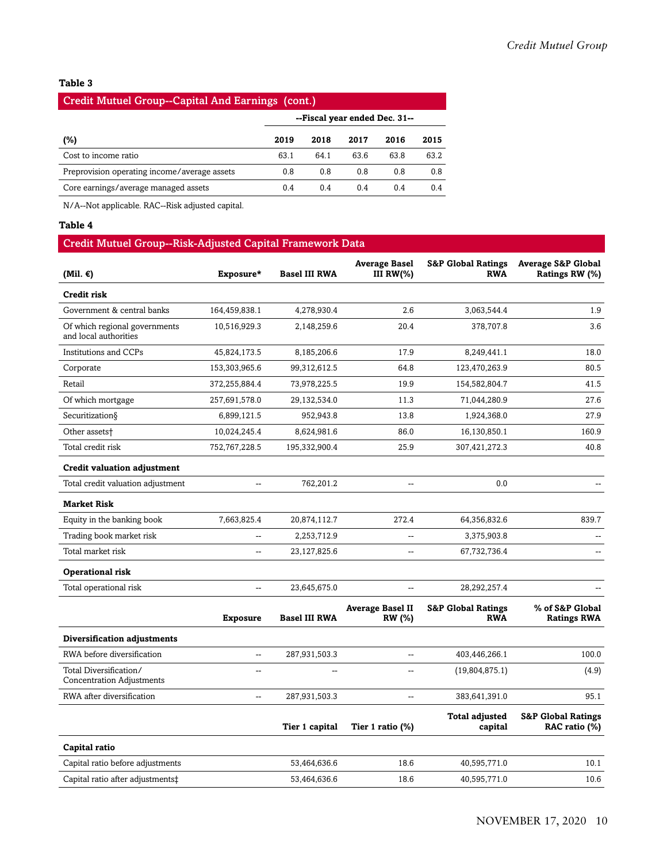#### **Table 3**

## Credit Mutuel Group--Capital And Earnings (cont.) **--Fiscal year ended Dec. 31-- (%) 2019 2018 2017 2016 2015** Cost to income ratio 63.1 64.1 63.6 63.8 63.2 Preprovision operating income/average assets  $0.8$  0.8 0.8 0.8 0.8 0.8 Core earnings/average managed assets 0.4 0.4 0.4 0.4 0.4 0.4

N/A--Not applicable. RAC--Risk adjusted capital.

#### **Table 4**

#### Credit Mutuel Group--Risk-Adjusted Capital Framework Data

| (Mil. $\epsilon$ )                                         | Exposure*       | <b>Basel III RWA</b> | <b>Average Basel</b><br>III RW(%) | <b>S&amp;P Global Ratings</b><br><b>RWA</b> | <b>Average S&amp;P Global</b><br>Ratings RW (%) |
|------------------------------------------------------------|-----------------|----------------------|-----------------------------------|---------------------------------------------|-------------------------------------------------|
| Credit risk                                                |                 |                      |                                   |                                             |                                                 |
| Government & central banks                                 | 164,459,838.1   | 4,278,930.4          | 2.6                               | 3,063,544.4                                 | 1.9                                             |
| Of which regional governments<br>and local authorities     | 10,516,929.3    | 2,148,259.6          | 20.4                              | 378,707.8                                   | 3.6                                             |
| <b>Institutions and CCPs</b>                               | 45,824,173.5    | 8,185,206.6          | 17.9                              | 8,249,441.1                                 | 18.0                                            |
| Corporate                                                  | 153,303,965.6   | 99,312,612.5         | 64.8                              | 123,470,263.9                               | 80.5                                            |
| Retail                                                     | 372,255,884.4   | 73,978,225.5         | 19.9                              | 154,582,804.7                               | 41.5                                            |
| Of which mortgage                                          | 257,691,578.0   | 29,132,534.0         | 11.3                              | 71,044,280.9                                | 27.6                                            |
| Securitization§                                            | 6,899,121.5     | 952,943.8            | 13.8                              | 1,924,368.0                                 | 27.9                                            |
| Other assets <sup>+</sup>                                  | 10,024,245.4    | 8,624,981.6          | 86.0                              | 16,130,850.1                                | 160.9                                           |
| Total credit risk                                          | 752,767,228.5   | 195,332,900.4        | 25.9                              | 307,421,272.3                               | 40.8                                            |
| <b>Credit valuation adjustment</b>                         |                 |                      |                                   |                                             |                                                 |
| Total credit valuation adjustment                          | Ξ.              | 762,201.2            | $\overline{\phantom{a}}$          | 0.0                                         |                                                 |
| <b>Market Risk</b>                                         |                 |                      |                                   |                                             |                                                 |
| Equity in the banking book                                 | 7,663,825.4     | 20,874,112.7         | 272.4                             | 64,356,832.6                                | 839.7                                           |
| Trading book market risk                                   | $\overline{a}$  | 2,253,712.9          |                                   | 3,375,903.8                                 |                                                 |
| Total market risk                                          | Ξ.              | 23,127,825.6         | $\overline{a}$                    | 67,732,736.4                                | $\overline{a}$                                  |
| <b>Operational risk</b>                                    |                 |                      |                                   |                                             |                                                 |
| Total operational risk                                     | $\overline{a}$  | 23,645,675.0         | $\overline{a}$                    | 28,292,257.4                                |                                                 |
|                                                            | <b>Exposure</b> | <b>Basel III RWA</b> | <b>Average Basel II</b><br>RW (%) | <b>S&amp;P Global Ratings</b><br><b>RWA</b> | % of S&P Global<br><b>Ratings RWA</b>           |
| Diversification adjustments                                |                 |                      |                                   |                                             |                                                 |
| RWA before diversification                                 | Щ,              | 287,931,503.3        | --                                | 403,446,266.1                               | 100.0                                           |
| Total Diversification/<br><b>Concentration Adjustments</b> | --              | $\overline{a}$       | --                                | (19,804,875.1)                              | (4.9)                                           |
| RWA after diversification                                  | --              | 287,931,503.3        | $\overline{a}$                    | 383,641,391.0                               | 95.1                                            |
|                                                            |                 | Tier 1 capital       | Tier 1 ratio $(\%)$               | <b>Total adjusted</b><br>capital            | <b>S&amp;P Global Ratings</b><br>RAC ratio (%)  |
| Capital ratio                                              |                 |                      |                                   |                                             |                                                 |
| Capital ratio before adjustments                           |                 | 53,464,636.6         | 18.6                              | 40,595,771.0                                | 10.1                                            |
| Capital ratio after adjustments‡                           |                 | 53,464,636.6         | 18.6                              | 40,595,771.0                                | 10.6                                            |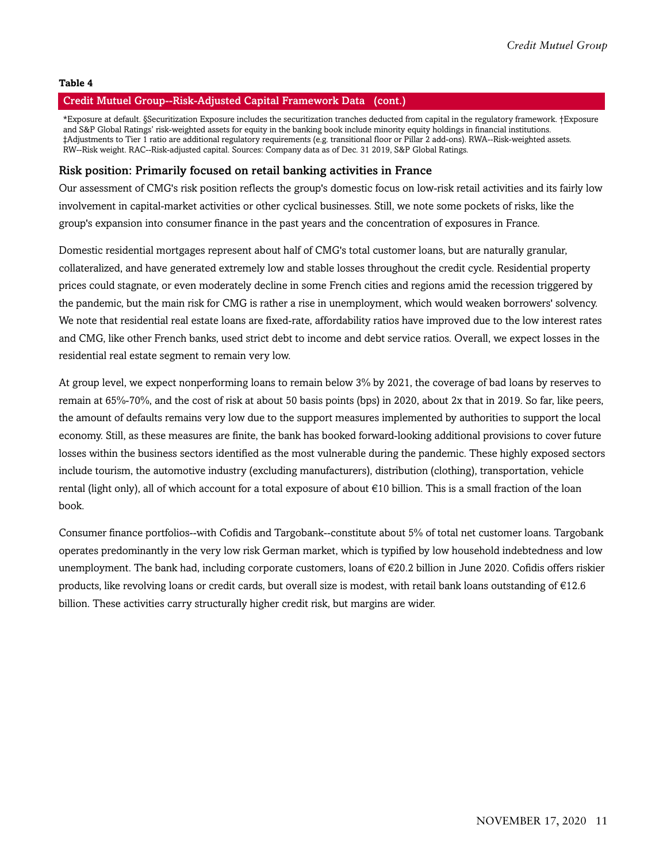#### **Table 4**

#### Credit Mutuel Group--Risk-Adjusted Capital Framework Data (cont.)

\*Exposure at default. §Securitization Exposure includes the securitization tranches deducted from capital in the regulatory framework. †Exposure and S&P Global Ratings' risk-weighted assets for equity in the banking book include minority equity holdings in financial institutions. ‡Adjustments to Tier 1 ratio are additional regulatory requirements (e.g. transitional floor or Pillar 2 add-ons). RWA--Risk-weighted assets. RW--Risk weight. RAC--Risk-adjusted capital. Sources: Company data as of Dec. 31 2019, S&P Global Ratings.

#### Risk position: Primarily focused on retail banking activities in France

Our assessment of CMG's risk position reflects the group's domestic focus on low-risk retail activities and its fairly low involvement in capital-market activities or other cyclical businesses. Still, we note some pockets of risks, like the group's expansion into consumer finance in the past years and the concentration of exposures in France.

Domestic residential mortgages represent about half of CMG's total customer loans, but are naturally granular, collateralized, and have generated extremely low and stable losses throughout the credit cycle. Residential property prices could stagnate, or even moderately decline in some French cities and regions amid the recession triggered by the pandemic, but the main risk for CMG is rather a rise in unemployment, which would weaken borrowers' solvency. We note that residential real estate loans are fixed-rate, affordability ratios have improved due to the low interest rates and CMG, like other French banks, used strict debt to income and debt service ratios. Overall, we expect losses in the residential real estate segment to remain very low.

At group level, we expect nonperforming loans to remain below 3% by 2021, the coverage of bad loans by reserves to remain at 65%-70%, and the cost of risk at about 50 basis points (bps) in 2020, about 2x that in 2019. So far, like peers, the amount of defaults remains very low due to the support measures implemented by authorities to support the local economy. Still, as these measures are finite, the bank has booked forward-looking additional provisions to cover future losses within the business sectors identified as the most vulnerable during the pandemic. These highly exposed sectors include tourism, the automotive industry (excluding manufacturers), distribution (clothing), transportation, vehicle rental (light only), all of which account for a total exposure of about €10 billion. This is a small fraction of the loan book.

Consumer finance portfolios--with Cofidis and Targobank--constitute about 5% of total net customer loans. Targobank operates predominantly in the very low risk German market, which is typified by low household indebtedness and low unemployment. The bank had, including corporate customers, loans of €20.2 billion in June 2020. Cofidis offers riskier products, like revolving loans or credit cards, but overall size is modest, with retail bank loans outstanding of  $\epsilon$ 12.6 billion. These activities carry structurally higher credit risk, but margins are wider.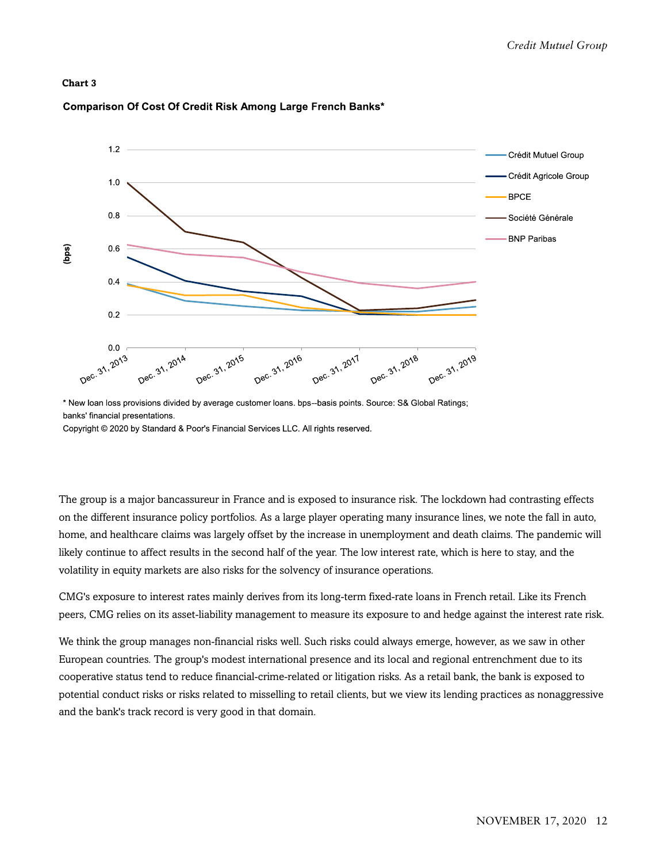

#### Comparison Of Cost Of Credit Risk Among Large French Banks\*

\* New Ioan loss provisions divided by average customer loans. bps--basis points. Source: S& Global Ratings; banks' financial presentations.

Copyright © 2020 by Standard & Poor's Financial Services LLC. All rights reserved.

The group is a major bancassureur in France and is exposed to insurance risk. The lockdown had contrasting effects on the different insurance policy portfolios. As a large player operating many insurance lines, we note the fall in auto, home, and healthcare claims was largely offset by the increase in unemployment and death claims. The pandemic will likely continue to affect results in the second half of the year. The low interest rate, which is here to stay, and the volatility in equity markets are also risks for the solvency of insurance operations.

CMG's exposure to interest rates mainly derives from its long-term fixed-rate loans in French retail. Like its French peers, CMG relies on its asset-liability management to measure its exposure to and hedge against the interest rate risk.

We think the group manages non-financial risks well. Such risks could always emerge, however, as we saw in other European countries. The group's modest international presence and its local and regional entrenchment due to its cooperative status tend to reduce financial-crime-related or litigation risks. As a retail bank, the bank is exposed to potential conduct risks or risks related to misselling to retail clients, but we view its lending practices as nonaggressive and the bank's track record is very good in that domain.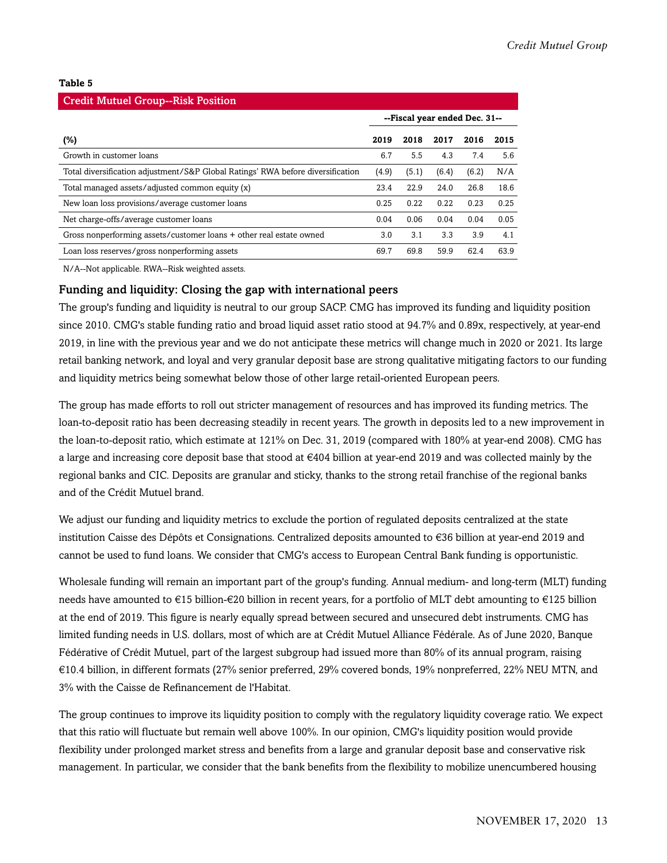#### **Table 5**

| <b>Credit Mutuel Group--Risk Position</b>                                       |                               |       |       |       |      |  |  |  |  |  |
|---------------------------------------------------------------------------------|-------------------------------|-------|-------|-------|------|--|--|--|--|--|
|                                                                                 | --Fiscal year ended Dec. 31-- |       |       |       |      |  |  |  |  |  |
| (%)                                                                             | 2019                          | 2018  | 2017  | 2016  | 2015 |  |  |  |  |  |
| Growth in customer loans                                                        | 6.7                           | 5.5   | 4.3   | 7.4   | 5.6  |  |  |  |  |  |
| Total diversification adjustment/S&P Global Ratings' RWA before diversification | (4.9)                         | (5.1) | (6.4) | (6.2) | N/A  |  |  |  |  |  |
| Total managed assets/adjusted common equity (x)                                 | 23.4                          | 22.9  | 24.0  | 26.8  | 18.6 |  |  |  |  |  |
| New loan loss provisions/average customer loans                                 | 0.25                          | 0.22  | 0.22  | 0.23  | 0.25 |  |  |  |  |  |
| Net charge-offs/average customer loans                                          | 0.04                          | 0.06  | 0.04  | 0.04  | 0.05 |  |  |  |  |  |
| Gross nonperforming assets/customer loans + other real estate owned             | 3.0                           | 3.1   | 3.3   | 3.9   | 4.1  |  |  |  |  |  |
| Loan loss reserves/gross nonperforming assets                                   | 69.7                          | 69.8  | 59.9  | 62.4  | 63.9 |  |  |  |  |  |

N/A--Not applicable. RWA--Risk weighted assets.

#### Funding and liquidity: Closing the gap with international peers

The group's funding and liquidity is neutral to our group SACP. CMG has improved its funding and liquidity position since 2010. CMG's stable funding ratio and broad liquid asset ratio stood at 94.7% and 0.89x, respectively, at year-end 2019, in line with the previous year and we do not anticipate these metrics will change much in 2020 or 2021. Its large retail banking network, and loyal and very granular deposit base are strong qualitative mitigating factors to our funding and liquidity metrics being somewhat below those of other large retail-oriented European peers.

The group has made efforts to roll out stricter management of resources and has improved its funding metrics. The loan-to-deposit ratio has been decreasing steadily in recent years. The growth in deposits led to a new improvement in the loan-to-deposit ratio, which estimate at 121% on Dec. 31, 2019 (compared with 180% at year-end 2008). CMG has a large and increasing core deposit base that stood at €404 billion at year-end 2019 and was collected mainly by the regional banks and CIC. Deposits are granular and sticky, thanks to the strong retail franchise of the regional banks and of the Crédit Mutuel brand.

We adjust our funding and liquidity metrics to exclude the portion of regulated deposits centralized at the state institution Caisse des Dépôts et Consignations. Centralized deposits amounted to €36 billion at year-end 2019 and cannot be used to fund loans. We consider that CMG's access to European Central Bank funding is opportunistic.

Wholesale funding will remain an important part of the group's funding. Annual medium- and long-term (MLT) funding needs have amounted to €15 billion-€20 billion in recent years, for a portfolio of MLT debt amounting to €125 billion at the end of 2019. This figure is nearly equally spread between secured and unsecured debt instruments. CMG has limited funding needs in U.S. dollars, most of which are at Crédit Mutuel Alliance Fédérale. As of June 2020, Banque Fédérative of Crédit Mutuel, part of the largest subgroup had issued more than 80% of its annual program, raising €10.4 billion, in different formats (27% senior preferred, 29% covered bonds, 19% nonpreferred, 22% NEU MTN, and 3% with the Caisse de Refinancement de l'Habitat.

The group continues to improve its liquidity position to comply with the regulatory liquidity coverage ratio. We expect that this ratio will fluctuate but remain well above 100%. In our opinion, CMG's liquidity position would provide flexibility under prolonged market stress and benefits from a large and granular deposit base and conservative risk management. In particular, we consider that the bank benefits from the flexibility to mobilize unencumbered housing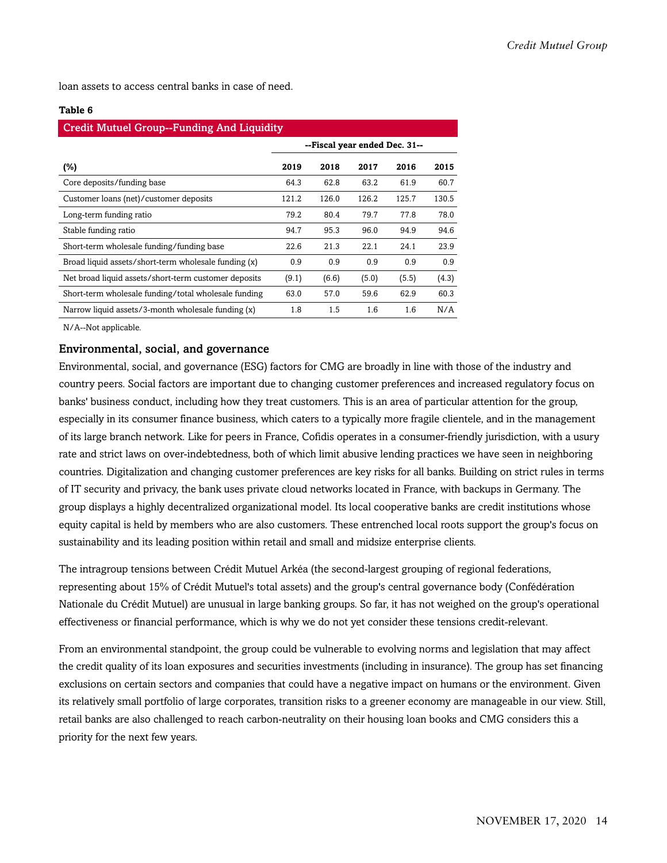loan assets to access central banks in case of need.

#### **Table 6**

| <b>Credit Mutuel Group--Funding And Liquidity</b>    |                               |       |       |       |       |  |  |  |  |
|------------------------------------------------------|-------------------------------|-------|-------|-------|-------|--|--|--|--|
|                                                      | --Fiscal year ended Dec. 31-- |       |       |       |       |  |  |  |  |
| (%)                                                  | 2019                          | 2018  | 2017  | 2016  | 2015  |  |  |  |  |
| Core deposits/funding base                           | 64.3                          | 62.8  | 63.2  | 61.9  | 60.7  |  |  |  |  |
| Customer loans (net)/customer deposits               | 121.2                         | 126.0 | 126.2 | 125.7 | 130.5 |  |  |  |  |
| Long-term funding ratio                              | 79.2                          | 80.4  | 79.7  | 77.8  | 78.0  |  |  |  |  |
| Stable funding ratio                                 | 94.7                          | 95.3  | 96.0  | 94.9  | 94.6  |  |  |  |  |
| Short-term wholesale funding/funding base            | 22.6                          | 21.3  | 22.1  | 24.1  | 23.9  |  |  |  |  |
| Broad liquid assets/short-term wholesale funding (x) | 0.9                           | 0.9   | 0.9   | 0.9   | 0.9   |  |  |  |  |
| Net broad liquid assets/short-term customer deposits | (9.1)                         | (6.6) | (5.0) | (5.5) | (4.3) |  |  |  |  |
| Short-term wholesale funding/total wholesale funding | 63.0                          | 57.0  | 59.6  | 62.9  | 60.3  |  |  |  |  |
| Narrow liquid assets/3-month wholesale funding (x)   | 1.8                           | 1.5   | 1.6   | 1.6   | N/A   |  |  |  |  |

N/A--Not applicable.

#### Environmental, social, and governance

Environmental, social, and governance (ESG) factors for CMG are broadly in line with those of the industry and country peers. Social factors are important due to changing customer preferences and increased regulatory focus on banks' business conduct, including how they treat customers. This is an area of particular attention for the group, especially in its consumer finance business, which caters to a typically more fragile clientele, and in the management of its large branch network. Like for peers in France, Cofidis operates in a consumer-friendly jurisdiction, with a usury rate and strict laws on over-indebtedness, both of which limit abusive lending practices we have seen in neighboring countries. Digitalization and changing customer preferences are key risks for all banks. Building on strict rules in terms of IT security and privacy, the bank uses private cloud networks located in France, with backups in Germany. The group displays a highly decentralized organizational model. Its local cooperative banks are credit institutions whose equity capital is held by members who are also customers. These entrenched local roots support the group's focus on sustainability and its leading position within retail and small and midsize enterprise clients.

The intragroup tensions between Crédit Mutuel Arkéa (the second-largest grouping of regional federations, representing about 15% of Crédit Mutuel's total assets) and the group's central governance body (Confédération Nationale du Crédit Mutuel) are unusual in large banking groups. So far, it has not weighed on the group's operational effectiveness or financial performance, which is why we do not yet consider these tensions credit-relevant.

From an environmental standpoint, the group could be vulnerable to evolving norms and legislation that may affect the credit quality of its loan exposures and securities investments (including in insurance). The group has set financing exclusions on certain sectors and companies that could have a negative impact on humans or the environment. Given its relatively small portfolio of large corporates, transition risks to a greener economy are manageable in our view. Still, retail banks are also challenged to reach carbon-neutrality on their housing loan books and CMG considers this a priority for the next few years.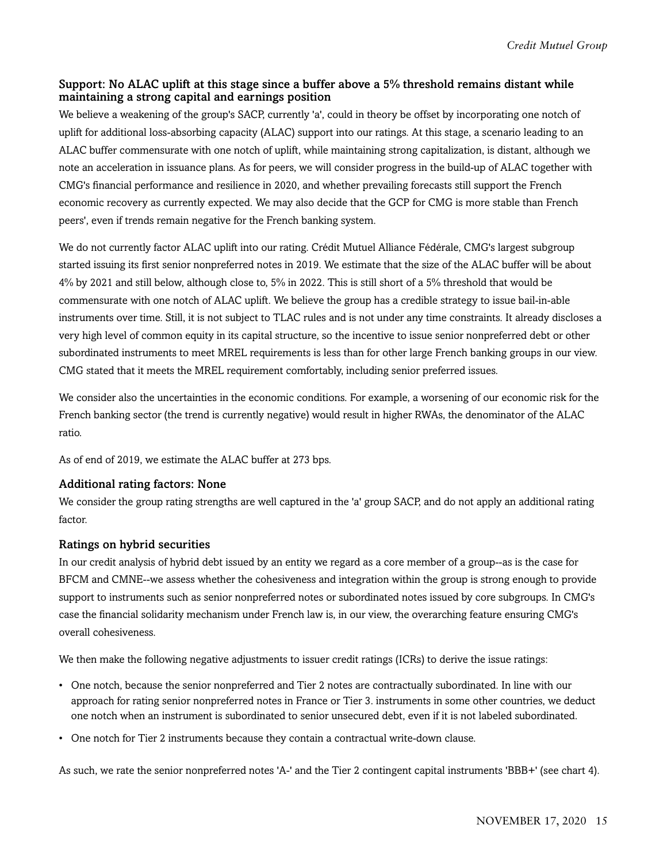#### Support: No ALAC uplift at this stage since a buffer above a 5% threshold remains distant while maintaining a strong capital and earnings position

We believe a weakening of the group's SACP, currently 'a', could in theory be offset by incorporating one notch of uplift for additional loss-absorbing capacity (ALAC) support into our ratings. At this stage, a scenario leading to an ALAC buffer commensurate with one notch of uplift, while maintaining strong capitalization, is distant, although we note an acceleration in issuance plans. As for peers, we will consider progress in the build-up of ALAC together with CMG's financial performance and resilience in 2020, and whether prevailing forecasts still support the French economic recovery as currently expected. We may also decide that the GCP for CMG is more stable than French peers', even if trends remain negative for the French banking system.

We do not currently factor ALAC uplift into our rating. Crédit Mutuel Alliance Fédérale, CMG's largest subgroup started issuing its first senior nonpreferred notes in 2019. We estimate that the size of the ALAC buffer will be about 4% by 2021 and still below, although close to, 5% in 2022. This is still short of a 5% threshold that would be commensurate with one notch of ALAC uplift. We believe the group has a credible strategy to issue bail-in-able instruments over time. Still, it is not subject to TLAC rules and is not under any time constraints. It already discloses a very high level of common equity in its capital structure, so the incentive to issue senior nonpreferred debt or other subordinated instruments to meet MREL requirements is less than for other large French banking groups in our view. CMG stated that it meets the MREL requirement comfortably, including senior preferred issues.

We consider also the uncertainties in the economic conditions. For example, a worsening of our economic risk for the French banking sector (the trend is currently negative) would result in higher RWAs, the denominator of the ALAC ratio.

As of end of 2019, we estimate the ALAC buffer at 273 bps.

#### Additional rating factors: None

We consider the group rating strengths are well captured in the 'a' group SACP, and do not apply an additional rating factor.

#### Ratings on hybrid securities

In our credit analysis of hybrid debt issued by an entity we regard as a core member of a group--as is the case for BFCM and CMNE--we assess whether the cohesiveness and integration within the group is strong enough to provide support to instruments such as senior nonpreferred notes or subordinated notes issued by core subgroups. In CMG's case the financial solidarity mechanism under French law is, in our view, the overarching feature ensuring CMG's overall cohesiveness.

We then make the following negative adjustments to issuer credit ratings (ICRs) to derive the issue ratings:

- One notch, because the senior nonpreferred and Tier 2 notes are contractually subordinated. In line with our approach for rating senior nonpreferred notes in France or Tier 3. instruments in some other countries, we deduct one notch when an instrument is subordinated to senior unsecured debt, even if it is not labeled subordinated.
- One notch for Tier 2 instruments because they contain a contractual write-down clause.

As such, we rate the senior nonpreferred notes 'A-' and the Tier 2 contingent capital instruments 'BBB+' (see chart 4).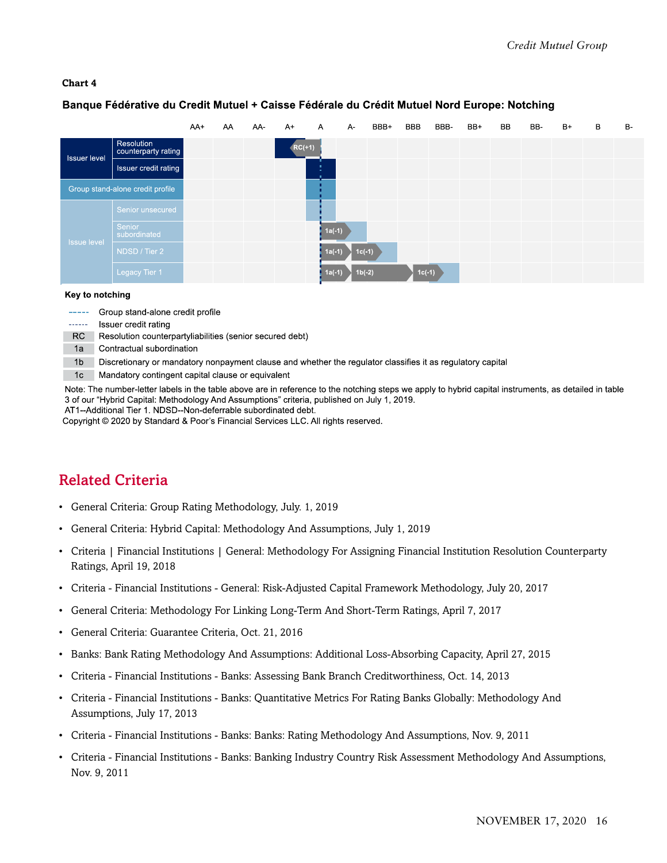#### Banque Fédérative du Credit Mutuel + Caisse Fédérale du Crédit Mutuel Nord Europe: Notching

|                     |                                   | AA+ | AA | AA- | $A+$     | $\mathsf{A}$ | A-       | BBB+ | <b>BBB</b> | BBB- | BB+ | BB. | BB- | $B+$ | B | B- |
|---------------------|-----------------------------------|-----|----|-----|----------|--------------|----------|------|------------|------|-----|-----|-----|------|---|----|
| <b>Issuer level</b> | Resolution<br>counterparty rating |     |    |     | $RC(+1)$ |              |          |      |            |      |     |     |     |      |   |    |
|                     | Issuer credit rating              |     |    |     |          |              |          |      |            |      |     |     |     |      |   |    |
|                     | Group stand-alone credit profile  |     |    |     |          |              |          |      |            |      |     |     |     |      |   |    |
|                     | Senior unsecured                  |     |    |     |          |              |          |      |            |      |     |     |     |      |   |    |
|                     | Senior<br>subordinated            |     |    |     |          | $1a(-1)$     |          |      |            |      |     |     |     |      |   |    |
| <b>Issue level</b>  | NDSD / Tier 2                     |     |    |     |          | $1a(-1)$     | $1c(-1)$ |      |            |      |     |     |     |      |   |    |
|                     | Legacy Tier 1                     |     |    |     |          | $1a(-1)$     | $1b(-2)$ |      | $1c(-1)$   |      |     |     |     |      |   |    |

#### Key to notching

----- Group stand-alone credit profile

- ------ Issuer credit rating
- RC Resolution counterpartyliabilities (senior secured debt)
- 1a Contractual subordination

1b Discretionary or mandatory nonpayment clause and whether the regulator classifies it as regulatory capital

1c Mandatory contingent capital clause or equivalent

Note: The number-letter labels in the table above are in reference to the notching steps we apply to hybrid capital instruments, as detailed in table 3 of our "Hybrid Capital: Methodology And Assumptions" criteria, published on July 1, 2019. AT1--Additional Tier 1. NDSD--Non-deferrable subordinated debt.

Copyright © 2020 by Standard & Poor's Financial Services LLC. All rights reserved.

## <span id="page-15-0"></span>Related Criteria

- General Criteria: Group Rating Methodology, July. 1, 2019
- General Criteria: Hybrid Capital: Methodology And Assumptions, July 1, 2019
- Criteria | Financial Institutions | General: Methodology For Assigning Financial Institution Resolution Counterparty Ratings, April 19, 2018
- Criteria Financial Institutions General: Risk-Adjusted Capital Framework Methodology, July 20, 2017
- General Criteria: Methodology For Linking Long-Term And Short-Term Ratings, April 7, 2017
- General Criteria: Guarantee Criteria, Oct. 21, 2016
- Banks: Bank Rating Methodology And Assumptions: Additional Loss-Absorbing Capacity, April 27, 2015
- Criteria Financial Institutions Banks: Assessing Bank Branch Creditworthiness, Oct. 14, 2013
- Criteria Financial Institutions Banks: Quantitative Metrics For Rating Banks Globally: Methodology And Assumptions, July 17, 2013
- Criteria Financial Institutions Banks: Banks: Rating Methodology And Assumptions, Nov. 9, 2011
- Criteria Financial Institutions Banks: Banking Industry Country Risk Assessment Methodology And Assumptions, Nov. 9, 2011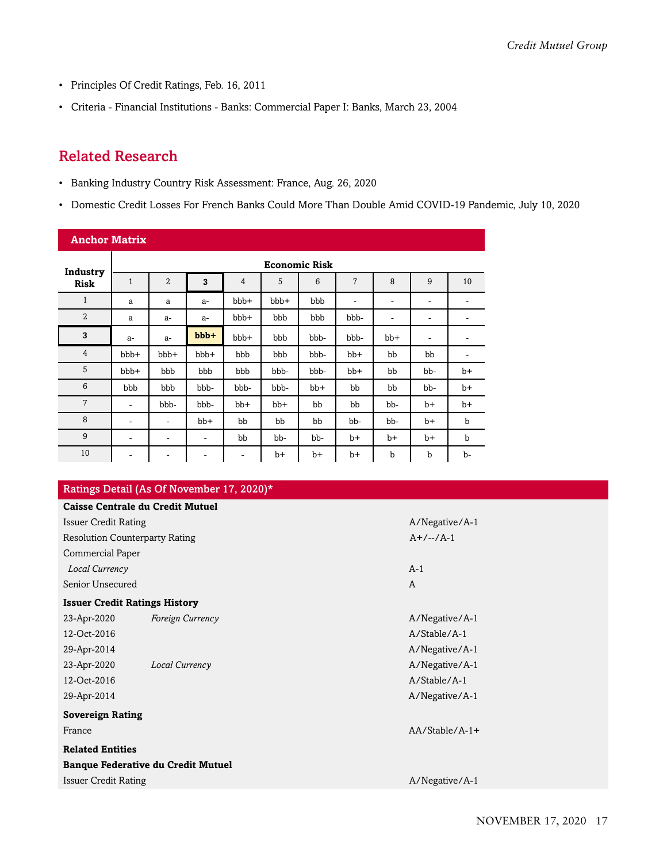- Principles Of Credit Ratings, Feb. 16, 2011
- Criteria Financial Institutions Banks: Commercial Paper I: Banks, March 23, 2004

# <span id="page-16-0"></span>Related Research

- Banking Industry Country Risk Assessment: France, Aug. 26, 2020
- Domestic Credit Losses For French Banks Could More Than Double Amid COVID-19 Pandemic, July 10, 2020

| <b>Anchor Matrix</b> |                      |                              |        |                |      |       |                          |       |                          |             |  |
|----------------------|----------------------|------------------------------|--------|----------------|------|-------|--------------------------|-------|--------------------------|-------------|--|
| Industry             | <b>Economic Risk</b> |                              |        |                |      |       |                          |       |                          |             |  |
| <b>Risk</b>          | $\mathbf{1}$         | $\overline{2}$               | 3      | $\overline{4}$ | 5    | 6     | $\overline{7}$           | 8     | 9                        | 10          |  |
| $\mathbf{1}$         | a                    | a                            | $a-$   | bbb+           | bbb+ | bbb   | $\overline{\phantom{a}}$ | ۰     | ۰                        | -           |  |
| $\overline{2}$       | a                    | $a-$                         | $a-$   | bbb+           | bbb  | bbb   | bbb-                     | ٠     | $\overline{\phantom{a}}$ | -           |  |
| 3                    | $a-$                 | $a-$                         | $bbb+$ | bbb+           | bbb  | bbb-  | bbb-                     | $bb+$ | ۰                        | ۰           |  |
| $\overline{4}$       | bbb+                 | bbb+                         | bbb+   | bbb            | bbb  | bbb-  | $bb+$                    | bb    | bb                       | ٠           |  |
| 5                    | bbb+                 | bbb                          | bbb    | bbb            | bbb- | bbb-  | $bb+$                    | bb    | bb-                      | $b+$        |  |
| $6\phantom{1}6$      | bbb                  | bbb                          | bbb-   | bbb-           | bbb- | $bb+$ | bb                       | bb    | bb-                      | $b+$        |  |
| 7                    | -                    | bbb-                         | bbb-   | $bb+$          | bb+  | bb    | bb                       | bb-   | $b+$                     | $b+$        |  |
| 8                    | ۰                    | $\qquad \qquad -$            | $bb+$  | bb             | bb   | bb    | bb-                      | bb-   | $b+$                     | $\mathbf b$ |  |
| 9                    | -                    | $\qquad \qquad -$            | ٠      | bb             | bb-  | bb-   | b+                       | $b+$  | $b+$                     | $\mathbf b$ |  |
| 10                   | -                    | $\qquad \qquad \blacksquare$ | -      | ۰              | $b+$ | b+    | b+                       | b     | $\mathbf b$              | b-          |  |

#### Ratings Detail (As Of November 17, 2020)\*

|                             | <b>Caisse Centrale du Credit Mutuel</b>   |                  |
|-----------------------------|-------------------------------------------|------------------|
| <b>Issuer Credit Rating</b> |                                           | A/Negative/A-1   |
|                             | <b>Resolution Counterparty Rating</b>     | $A+/-/-/A-1$     |
| <b>Commercial Paper</b>     |                                           |                  |
| Local Currency              |                                           | $A-1$            |
| Senior Unsecured            |                                           | A                |
|                             | <b>Issuer Credit Ratings History</b>      |                  |
| 23-Apr-2020                 | <b>Foreign Currency</b>                   | A/Negative/A-1   |
| 12-Oct-2016                 |                                           | A/Stable/A-1     |
| 29-Apr-2014                 |                                           | A/Negative/A-1   |
| 23-Apr-2020                 | Local Currency                            | A/Negative/A-1   |
| 12-Oct-2016                 |                                           | $A/Stable/A-1$   |
| 29-Apr-2014                 |                                           | A/Negative/A-1   |
| <b>Sovereign Rating</b>     |                                           |                  |
| France                      |                                           | $AA/Stable/A-1+$ |
| <b>Related Entities</b>     |                                           |                  |
|                             | <b>Banque Federative du Credit Mutuel</b> |                  |
| <b>Issuer Credit Rating</b> |                                           | A/Negative/A-1   |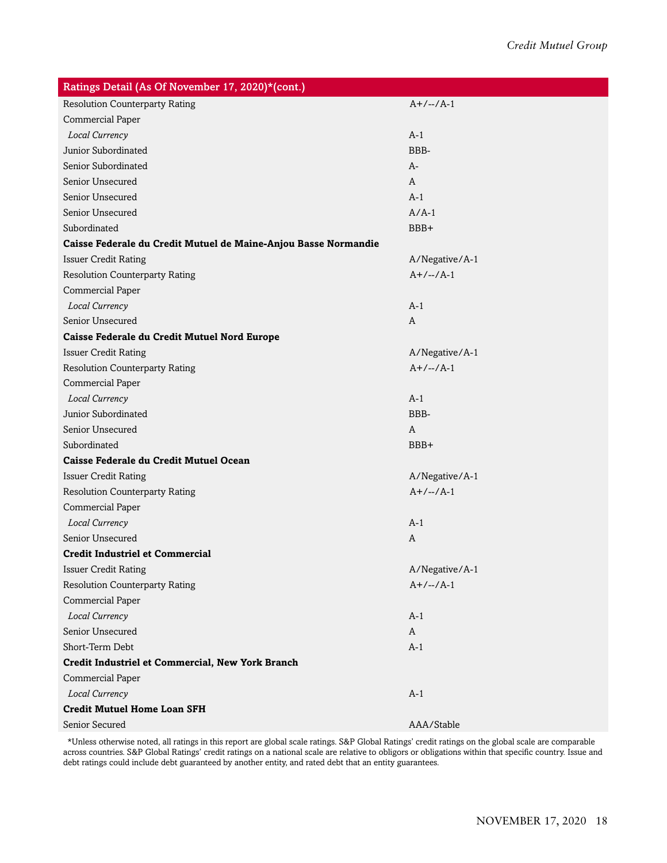| Ratings Detail (As Of November 17, 2020)*(cont.)                |                |
|-----------------------------------------------------------------|----------------|
| <b>Resolution Counterparty Rating</b>                           | $A+/-/A-1$     |
| Commercial Paper                                                |                |
| Local Currency                                                  | $A-1$          |
| Junior Subordinated                                             | BBB-           |
| Senior Subordinated                                             | A-             |
| Senior Unsecured                                                | A              |
| Senior Unsecured                                                | $A-1$          |
| Senior Unsecured                                                | $A/A-1$        |
| Subordinated                                                    | BBB+           |
| Caisse Federale du Credit Mutuel de Maine-Anjou Basse Normandie |                |
| <b>Issuer Credit Rating</b>                                     | A/Negative/A-1 |
| <b>Resolution Counterparty Rating</b>                           | $A+/-/-/A-1$   |
| Commercial Paper                                                |                |
| Local Currency                                                  | $A-1$          |
| Senior Unsecured                                                | A              |
| Caisse Federale du Credit Mutuel Nord Europe                    |                |
| <b>Issuer Credit Rating</b>                                     | A/Negative/A-1 |
| <b>Resolution Counterparty Rating</b>                           | $A+/-/A-1$     |
| Commercial Paper                                                |                |
| Local Currency                                                  | $A-1$          |
| Junior Subordinated                                             | BBB-           |
| Senior Unsecured                                                | A              |
| Subordinated                                                    | BBB+           |
| Caisse Federale du Credit Mutuel Ocean                          |                |
| <b>Issuer Credit Rating</b>                                     | A/Negative/A-1 |
| <b>Resolution Counterparty Rating</b>                           | $A+/-/A-1$     |
| Commercial Paper                                                |                |
| Local Currency                                                  | $A-1$          |
| Senior Unsecured                                                | A              |
| <b>Credit Industriel et Commercial</b>                          |                |
| <b>Issuer Credit Rating</b>                                     | A/Negative/A-1 |
| <b>Resolution Counterparty Rating</b>                           | $A+/-/-/A-1$   |
| Commercial Paper                                                |                |
| Local Currency                                                  | $A-1$          |
| Senior Unsecured                                                | A              |
| Short-Term Debt                                                 | $A-1$          |
| Credit Industriel et Commercial, New York Branch                |                |
| Commercial Paper                                                |                |
| Local Currency                                                  | $A-1$          |
| <b>Credit Mutuel Home Loan SFH</b>                              |                |
| Senior Secured                                                  | AAA/Stable     |

\*Unless otherwise noted, all ratings in this report are global scale ratings. S&P Global Ratings' credit ratings on the global scale are comparable across countries. S&P Global Ratings' credit ratings on a national scale are relative to obligors or obligations within that specific country. Issue and debt ratings could include debt guaranteed by another entity, and rated debt that an entity guarantees.